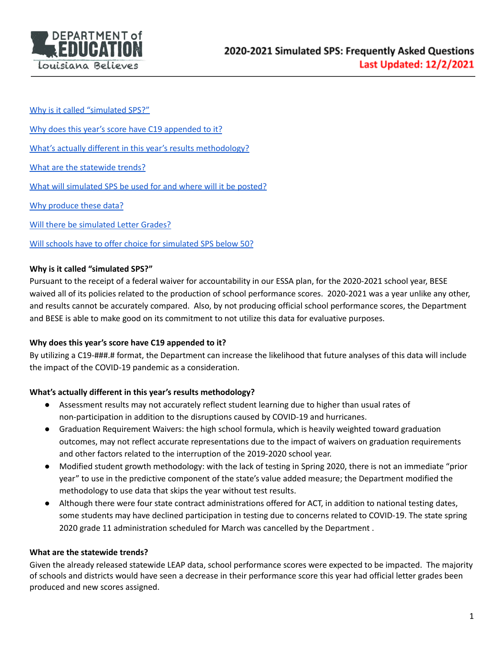

Why is it called ["simulated](#page-0-0) SPS?"

Why does this year's score have C19 [appended](#page-0-1) to it?

What's actually different in this year's results [methodology?](#page-0-2)

What are the [statewide](#page-0-3) trends?

What will [simulated](#page-1-0) SPS be used for and where will it be posted?

Why [produce](#page-1-1) these data?

Will there be [simulated](#page-1-2) Letter Grades?

Will schools have to offer choice for [simulated](#page-2-0) SPS below 50?

## <span id="page-0-0"></span>**Why is it called "simulated SPS?"**

Pursuant to the receipt of a federal waiver for accountability in our ESSA plan, for the 2020-2021 school year, BESE waived all of its policies related to the production of school performance scores. 2020-2021 was a year unlike any other, and results cannot be accurately compared. Also, by not producing official school performance scores, the Department and BESE is able to make good on its commitment to not utilize this data for evaluative purposes.

## <span id="page-0-1"></span>**Why does this year's score have C19 appended to it?**

By utilizing a C19-###.# format, the Department can increase the likelihood that future analyses of this data will include the impact of the COVID-19 pandemic as a consideration.

## <span id="page-0-2"></span>**What's actually different in this year's results methodology?**

- Assessment results may not accurately reflect student learning due to higher than usual rates of non-participation in addition to the disruptions caused by COVID-19 and hurricanes.
- Graduation Requirement Waivers: the high school formula, which is heavily weighted toward graduation outcomes, may not reflect accurate representations due to the impact of waivers on graduation requirements and other factors related to the interruption of the 2019-2020 school year.
- Modified student growth methodology: with the lack of testing in Spring 2020, there is not an immediate "prior year" to use in the predictive component of the state's value added measure; the Department modified the methodology to use data that skips the year without test results.
- Although there were four state contract administrations offered for ACT, in addition to national testing dates, some students may have declined participation in testing due to concerns related to COVID-19. The state spring 2020 grade 11 administration scheduled for March was cancelled by the Department .

#### <span id="page-0-3"></span>**What are the statewide trends?**

Given the already released statewide LEAP data, school performance scores were expected to be impacted. The majority of schools and districts would have seen a decrease in their performance score this year had official letter grades been produced and new scores assigned.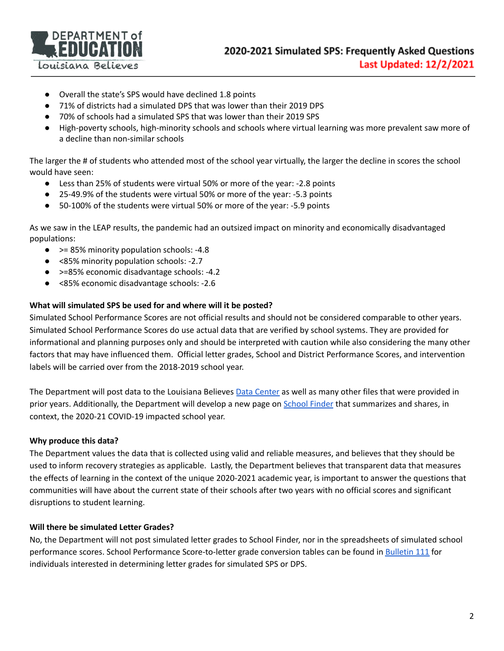

- Overall the state's SPS would have declined 1.8 points
- 71% of districts had a simulated DPS that was lower than their 2019 DPS
- 70% of schools had a simulated SPS that was lower than their 2019 SPS
- High-poverty schools, high-minority schools and schools where virtual learning was more prevalent saw more of a decline than non-similar schools

The larger the # of students who attended most of the school year virtually, the larger the decline in scores the school would have seen:

- Less than 25% of students were virtual 50% or more of the year: -2.8 points
- 25-49.9% of the students were virtual 50% or more of the year: -5.3 points
- 50-100% of the students were virtual 50% or more of the year: -5.9 points

As we saw in the LEAP results, the pandemic had an outsized impact on minority and economically disadvantaged populations:

- > > 85% minority population schools: -4.8
- <85% minority population schools: -2.7
- >=85% economic disadvantage schools: -4.2
- <85% economic disadvantage schools: -2.6

# <span id="page-1-0"></span>**What will simulated SPS be used for and where will it be posted?**

Simulated School Performance Scores are not official results and should not be considered comparable to other years. Simulated School Performance Scores do use actual data that are verified by school systems. They are provided for informational and planning purposes only and should be interpreted with caution while also considering the many other factors that may have influenced them. Official letter grades, School and District Performance Scores, and intervention labels will be carried over from the 2018-2019 school year.

The Department will post data to the Louisiana Believes Data [Center](https://www.louisianabelieves.com/resources/library/data-center) as well as many other files that were provided in prior years. Additionally, the Department will develop a new page on [School](https://louisianaschools.com/) Finder that summarizes and shares, in context, the 2020-21 COVID-19 impacted school year.

## <span id="page-1-1"></span>**Why produce this data?**

The Department values the data that is collected using valid and reliable measures, and believes that they should be used to inform recovery strategies as applicable. Lastly, the Department believes that transparent data that measures the effects of learning in the context of the unique 2020-2021 academic year, is important to answer the questions that communities will have about the current state of their schools after two years with no official scores and significant disruptions to student learning.

## <span id="page-1-2"></span>**Will there be simulated Letter Grades?**

No, the Department will not post simulated letter grades to School Finder, nor in the spreadsheets of simulated school performance scores. School Performance Score-to-letter grade conversion tables can be found in [Bulletin](https://bese.louisiana.gov/policy) 111 for individuals interested in determining letter grades for simulated SPS or DPS.